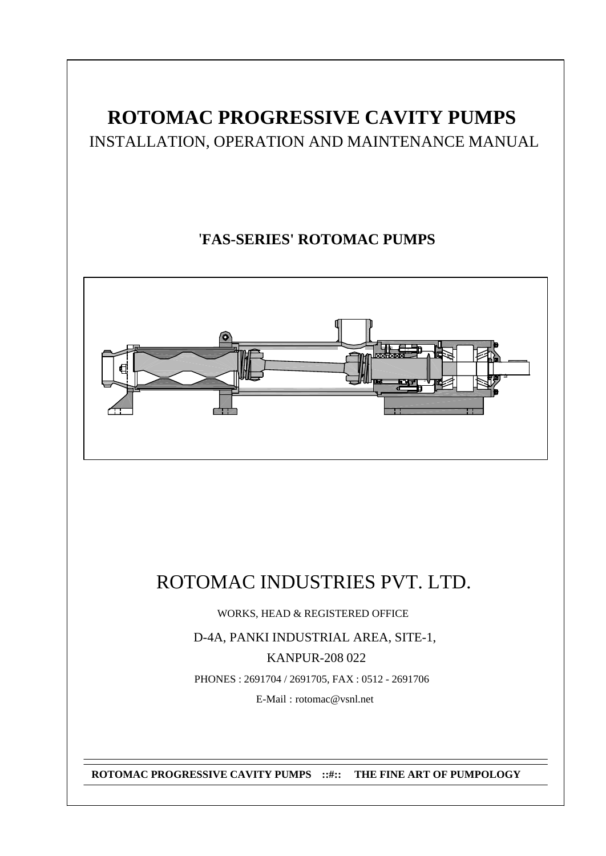# **ROTOMAC PROGRESSIVE CAVITY PUMPS** INSTALLATION, OPERATION AND MAINTENANCE MANUAL

## '**FAS-SERIES' ROTOMAC PUMPS**



# ROTOMAC INDUSTRIES PVT. LTD.

WORKS, HEAD & REGISTERED OFFICE

D-4A, PANKI INDUSTRIAL AREA, SITE-1, KANPUR-208 022 PHONES : 2691704 / 2691705, FAX : 0512 - 2691706

E-Mail : rotomac@vsnl.net

**ROTOMAC PROGRESSIVE CAVITY PUMPS ::#:: THE FINE ART OF PUMPOLOGY**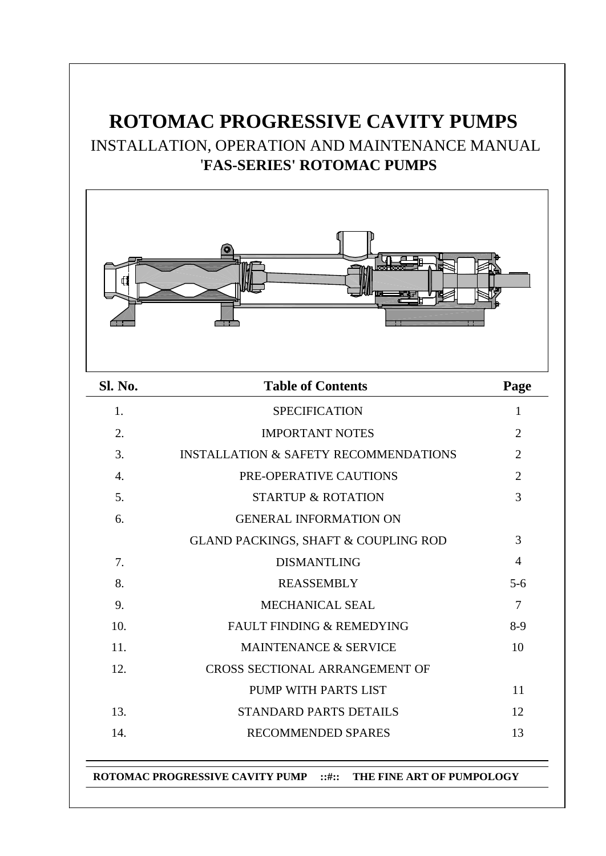# **ROTOMAC PROGRESSIVE CAVITY PUMPS** INSTALLATION, OPERATION AND MAINTENANCE MANUAL '**FAS-SERIES' ROTOMAC PUMPS**



| <b>Sl. No.</b>   | <b>Table of Contents</b>                         | Page           |
|------------------|--------------------------------------------------|----------------|
| 1.               | <b>SPECIFICATION</b>                             | 1              |
| 2.               | <b>IMPORTANT NOTES</b>                           | $\overline{2}$ |
| 3.               | <b>INSTALLATION &amp; SAFETY RECOMMENDATIONS</b> | $\overline{2}$ |
| $\overline{4}$ . | PRE-OPERATIVE CAUTIONS                           | $\overline{2}$ |
| 5.               | <b>STARTUP &amp; ROTATION</b>                    | 3              |
| 6.               | <b>GENERAL INFORMATION ON</b>                    |                |
|                  | GLAND PACKINGS, SHAFT & COUPLING ROD             | 3              |
| 7.               | <b>DISMANTLING</b>                               | 4              |
| 8.               | <b>REASSEMBLY</b>                                | $5 - 6$        |
| 9.               | <b>MECHANICAL SEAL</b>                           | $\overline{7}$ |
| 10.              | <b>FAULT FINDING &amp; REMEDYING</b>             | $8-9$          |
| 11.              | <b>MAINTENANCE &amp; SERVICE</b>                 | 10             |
| 12.              | <b>CROSS SECTIONAL ARRANGEMENT OF</b>            |                |
|                  | PUMP WITH PARTS LIST                             | 11             |
| 13.              | <b>STANDARD PARTS DETAILS</b>                    | 12             |
| 14.              | <b>RECOMMENDED SPARES</b>                        | 13             |
|                  |                                                  |                |

**ROTOMAC PROGRESSIVE CAVITY PUMP ::#:: THE FINE ART OF PUMPOLOGY**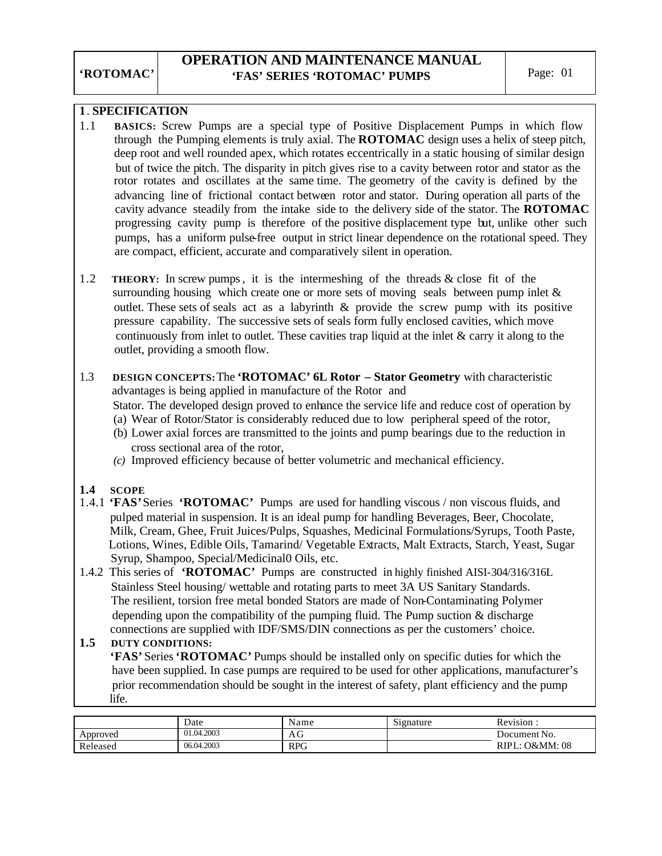## **1**. **SPECIFICATION**

- 1.1 **BASICS:** Screw Pumps are a special type of Positive Displacement Pumps in which flow through the Pumping elements is truly axial. The **ROTOMAC** design uses a helix of steep pitch, deep root and well rounded apex, which rotates eccentrically in a static housing of similar design but of twice the pitch. The disparity in pitch gives rise to a cavity between rotor and stator as the rotor rotates and oscillates at the same time. The geometry of the cavity is defined by the advancing line of frictional contact between rotor and stator. During operation all parts of the cavity advance steadily from the intake side to the delivery side of the stator. The **ROTOMAC** progressing cavity pump is therefore of the positive displacement type but, unlike other such pumps, has a uniform pulse-free output in strict linear dependence on the rotational speed. They are compact, efficient, accurate and comparatively silent in operation.
- 1.2 **THEORY:** In screw pumps, it is the intermeshing of the threads & close fit of the surrounding housing which create one or more sets of moving seals between pump inlet  $\&$  outlet. These sets of seals act as a labyrinth & provide the screw pump with its positive pressure capability. The successive sets of seals form fully enclosed cavities, which move continuously from inlet to outlet. These cavities trap liquid at the inlet & carry it along to the outlet, providing a smooth flow.
- 1.3 **DESIGN CONCEPTS:** The **'ROTOMAC' 6L Rotor Stator Geometry** with characteristic advantages is being applied in manufacture of the Rotor and

Stator. The developed design proved to enhance the service life and reduce cost of operation by

(a) Wear of Rotor/Stator is considerably reduced due to low peripheral speed of the rotor,

- (b) Lower axial forces are transmitted to the joints and pump bearings due to the reduction in cross sectional area of the rotor,
- *(c)* Improved efficiency because of better volumetric and mechanical efficiency.

### **1.4 SCOPE**

- 1.4.1 **'FAS'** Series **'ROTOMAC'** Pumps are used for handling viscous / non viscous fluids, and pulped material in suspension. It is an ideal pump for handling Beverages, Beer, Chocolate, Milk, Cream, Ghee, Fruit Juices/Pulps, Squashes, Medicinal Formulations/Syrups, Tooth Paste, Lotions, Wines, Edible Oils, Tamarind/ Vegetable Extracts, Malt Extracts, Starch, Yeast, Sugar Syrup, Shampoo, Special/Medicinal0 Oils, etc.
- 1.4.2 This series of **'ROTOMAC'** Pumps are constructed in highly finished AISI-304/316/316L Stainless Steel housing/ wettable and rotating parts to meet 3A US Sanitary Standards. The resilient, torsion free metal bonded Stators are made of Non-Contaminating Polymer depending upon the compatibility of the pumping fluid. The Pump suction  $\&$  discharge connections are supplied with IDF/SMS/DIN connections as per the customers' choice.

### **1.5 DUTY CONDITIONS:**

 **'FAS'** Series **'ROTOMAC'** Pumps should be installed only on specific duties for which the have been supplied. In case pumps are required to be used for other applications, manufacturer's prior recommendation should be sought in the interest of safety, plant efficiency and the pump life.

|          | Date       | Name       | $\sim$<br>Signature | Revision         |
|----------|------------|------------|---------------------|------------------|
| Approved | 01.04.2003 | AU         |                     | Document No.     |
| Released | 06.04.2003 | <b>RPG</b> |                     | O&MM: 08<br>RIPI |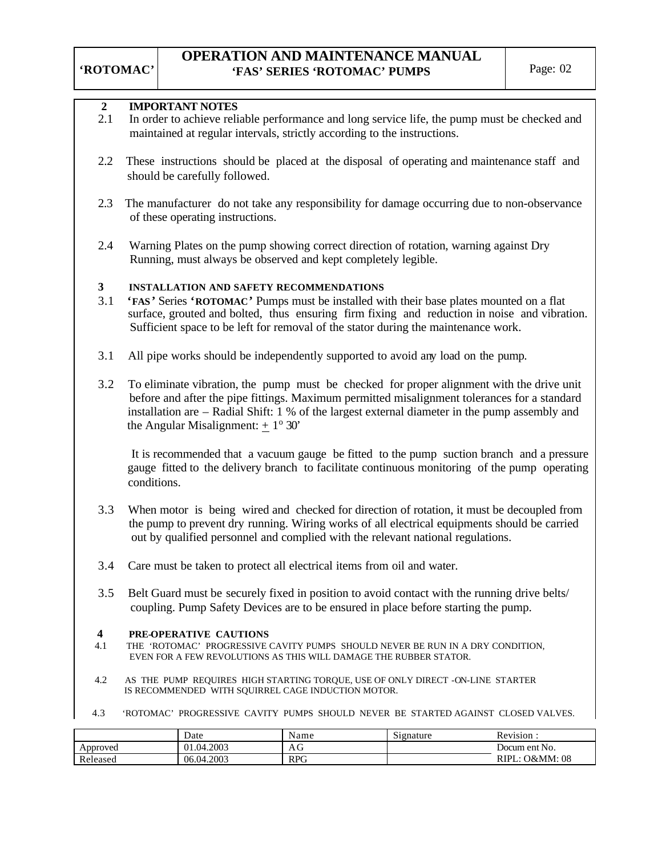### **2 IMPORTANT NOTES**

- 2.1 In order to achieve reliable performance and long service life, the pump must be checked and maintained at regular intervals, strictly according to the instructions.
- 2.2 These instructions should be placed at the disposal of operating and maintenance staff and should be carefully followed.
- 2.3 The manufacturer do not take any responsibility for damage occurring due to non-observance of these operating instructions.
- 2.4 Warning Plates on the pump showing correct direction of rotation, warning against Dry Running, must always be observed and kept completely legible.

#### **3 INSTALLATION AND SAFETY RECOMMENDATIONS**

- 3.1 **'FAS'** Series **'ROTOMAC'** Pumps must be installed with their base plates mounted on a flat surface, grouted and bolted, thus ensuring firm fixing and reduction in noise and vibration. Sufficient space to be left for removal of the stator during the maintenance work.
- 3.1 All pipe works should be independently supported to avoid any load on the pump.
- 3.2 To eliminate vibration, the pump must be checked for proper alignment with the drive unit before and after the pipe fittings. Maximum permitted misalignment tolerances for a standard installation are – Radial Shift: 1 % of the largest external diameter in the pump assembly and the Angular Misalignment:  $\pm 1^{\circ}$  30'

 It is recommended that a vacuum gauge be fitted to the pump suction branch and a pressure gauge fitted to the delivery branch to facilitate continuous monitoring of the pump operating conditions.

- 3.3 When motor is being wired and checked for direction of rotation, it must be decoupled from the pump to prevent dry running. Wiring works of all electrical equipments should be carried out by qualified personnel and complied with the relevant national regulations.
- 3.4 Care must be taken to protect all electrical items from oil and water.
- 3.5 Belt Guard must be securely fixed in position to avoid contact with the running drive belts/ coupling. Pump Safety Devices are to be ensured in place before starting the pump.

#### **4 PRE-OPERATIVE CAUTIONS**

- 4.1THE 'ROTOMAC' PROGRESSIVE CAVITY PUMPS SHOULD NEVER BE RUN IN A DRY CONDITION, EVEN FOR A FEW REVOLUTIONS AS THIS WILL DAMAGE THE RUBBER STATOR.
- 4.2 AS THE PUMP REQUIRES HIGH STARTING TORQUE, USE OF ONLY DIRECT -ON-LINE STARTER IS RECOMMENDED WITH SQUIRREL CAGE INDUCTION MOTOR.
- 4.3 'ROTOMAC' PROGRESSIVE CAVITY PUMPS SHOULD NEVER BE STARTED AGAINST CLOSED VALVES.

|          | Date       | Name       | $\sim$<br>Signature | $\ddot{\phantom{a}}$<br>Revision. |
|----------|------------|------------|---------------------|-----------------------------------|
| Approved | 01.04.2003 | AU         |                     | Docum ent No.                     |
| Released | 06.04.2003 | <b>RPG</b> |                     | <b>O&amp;MM</b> : 08<br>RIPL.     |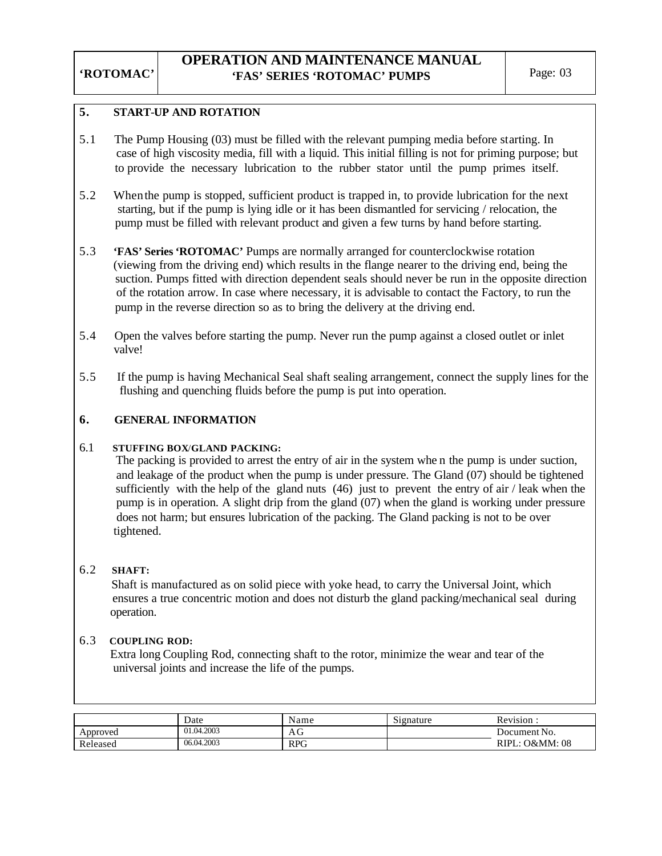#### **5. START**-**UP AND ROTATION**

- 5.1 The Pump Housing (03) must be filled with the relevant pumping media before starting. In case of high viscosity media, fill with a liquid. This initial filling is not for priming purpose; but to provide the necessary lubrication to the rubber stator until the pump primes itself.
- 5.2 When the pump is stopped, sufficient product is trapped in, to provide lubrication for the next starting, but if the pump is lying idle or it has been dismantled for servicing / relocation, the pump must be filled with relevant product and given a few turns by hand before starting.
- 5.3 **'FAS' Series 'ROTOMAC'** Pumps are normally arranged for counterclockwise rotation (viewing from the driving end) which results in the flange nearer to the driving end, being the suction. Pumps fitted with direction dependent seals should never be run in the opposite direction of the rotation arrow. In case where necessary, it is advisable to contact the Factory, to run the pump in the reverse direction so as to bring the delivery at the driving end.
- 5.4 Open the valves before starting the pump. Never run the pump against a closed outlet or inlet valve!
- 5.5 If the pump is having Mechanical Seal shaft sealing arrangement, connect the supply lines for the flushing and quenching fluids before the pump is put into operation.

### **6. GENERAL INFORMATION**

### 6.1 **STUFFING BOX**/**GLAND PACKING:**

 The packing is provided to arrest the entry of air in the system whe n the pump is under suction, and leakage of the product when the pump is under pressure. The Gland (07) should be tightened sufficiently with the help of the gland nuts  $(46)$  just to prevent the entry of air / leak when the pump is in operation. A slight drip from the gland (07) when the gland is working under pressure does not harm; but ensures lubrication of the packing. The Gland packing is not to be over tightened.

### 6.2 **SHAFT:**

 Shaft is manufactured as on solid piece with yoke head, to carry the Universal Joint, which ensures a true concentric motion and does not disturb the gland packing/mechanical seal during operation.

### 6.3 **COUPLING ROD:**

Extra long Coupling Rod, connecting shaft to the rotor, minimize the wear and tear of the universal joints and increase the life of the pumps.

|          | Date       | Name       | $\sim$<br>Signature | Revision :           |
|----------|------------|------------|---------------------|----------------------|
| Approved | 01.04.2003 | ΑG         |                     | Document No.         |
| Released | 06.04.2003 | <b>RPG</b> |                     | L: O&MM: 08<br>RIPL: |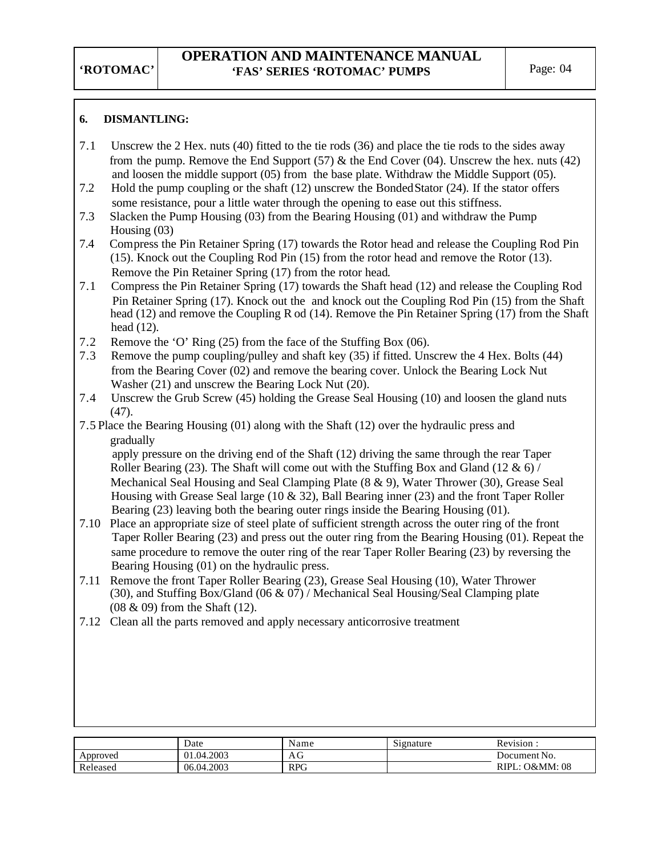## **6. DISMANTLING:**

- 7.1 Unscrew the 2 Hex. nuts (40) fitted to the tie rods (36) and place the tie rods to the sides away from the pump. Remove the End Support  $(57)$  & the End Cover  $(04)$ . Unscrew the hex. nuts  $(42)$ and loosen the middle support (05) from the base plate. Withdraw the Middle Support (05).
- 7.2 Hold the pump coupling or the shaft (12) unscrew the Bonded Stator (24). If the stator offers some resistance, pour a little water through the opening to ease out this stiffness.
- 7.3 Slacken the Pump Housing (03) from the Bearing Housing (01) and withdraw the Pump Housing (03)
- 7.4 Compress the Pin Retainer Spring (17) towards the Rotor head and release the Coupling Rod Pin (15). Knock out the Coupling Rod Pin (15) from the rotor head and remove the Rotor (13). Remove the Pin Retainer Spring (17) from the rotor head.
- 7.1 Compress the Pin Retainer Spring (17) towards the Shaft head (12) and release the Coupling Rod Pin Retainer Spring (17). Knock out the and knock out the Coupling Rod Pin (15) from the Shaft head (12) and remove the Coupling R od (14). Remove the Pin Retainer Spring (17) from the Shaft head (12).
- 7.2 Remove the 'O' Ring (25) from the face of the Stuffing Box (06).
- 7.3 Remove the pump coupling/pulley and shaft key (35) if fitted. Unscrew the 4 Hex. Bolts (44) from the Bearing Cover (02) and remove the bearing cover. Unlock the Bearing Lock Nut Washer (21) and unscrew the Bearing Lock Nut (20).
- 7.4 Unscrew the Grub Screw (45) holding the Grease Seal Housing (10) and loosen the gland nuts (47).
- 7.5 Place the Bearing Housing (01) along with the Shaft (12) over the hydraulic press and gradually

 apply pressure on the driving end of the Shaft (12) driving the same through the rear Taper Roller Bearing (23). The Shaft will come out with the Stuffing Box and Gland (12  $\&$  6) / Mechanical Seal Housing and Seal Clamping Plate (8 & 9), Water Thrower (30), Grease Seal Housing with Grease Seal large (10  $\&$  32), Ball Bearing inner (23) and the front Taper Roller Bearing (23) leaving both the bearing outer rings inside the Bearing Housing (01).

- 7.10 Place an appropriate size of steel plate of sufficient strength across the outer ring of the front Taper Roller Bearing (23) and press out the outer ring from the Bearing Housing (01). Repeat the same procedure to remove the outer ring of the rear Taper Roller Bearing (23) by reversing the Bearing Housing (01) on the hydraulic press.
- 7.11 Remove the front Taper Roller Bearing (23), Grease Seal Housing (10), Water Thrower (30), and Stuffing Box/Gland (06 & 07) / Mechanical Seal Housing/Seal Clamping plate (08 & 09) from the Shaft (12).
- 7.12 Clean all the parts removed and apply necessary anticorrosive treatment

|          | Date       | Name       | Signature | Revision.           |
|----------|------------|------------|-----------|---------------------|
| Approved | 01.04.2003 | AG         |           | Document No.        |
| Released | 06.04.2003 | <b>RPG</b> |           | : O&MM: 08<br>RIPL: |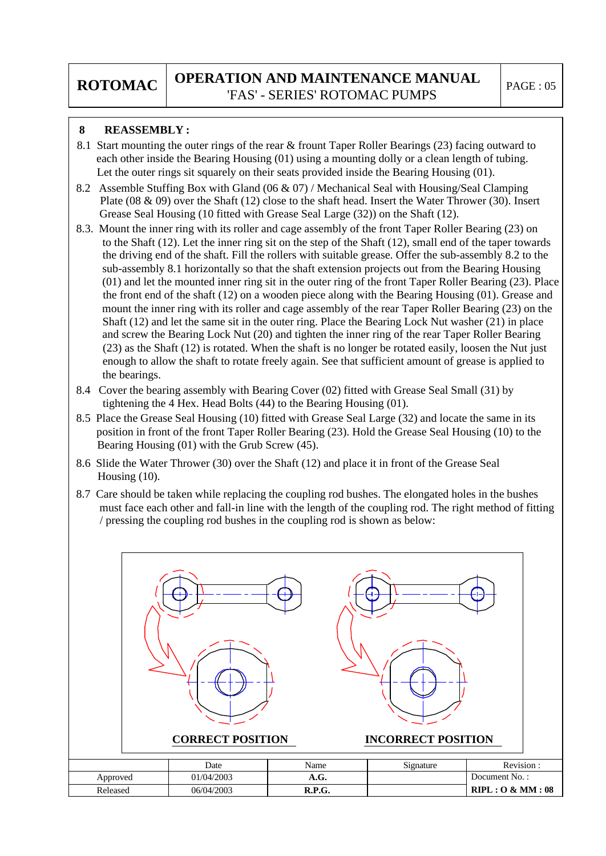## **8 REASSEMBLY :**

- 8.1 Start mounting the outer rings of the rear & frount Taper Roller Bearings (23) facing outward to each other inside the Bearing Housing (01) using a mounting dolly or a clean length of tubing. Let the outer rings sit squarely on their seats provided inside the Bearing Housing (01).
- 8.2 Assemble Stuffing Box with Gland (06 & 07) / Mechanical Seal with Housing/Seal Clamping Plate (08 & 09) over the Shaft (12) close to the shaft head. Insert the Water Thrower (30). Insert Grease Seal Housing (10 fitted with Grease Seal Large (32)) on the Shaft (12).
- 8.3. Mount the inner ring with its roller and cage assembly of the front Taper Roller Bearing (23) on to the Shaft (12). Let the inner ring sit on the step of the Shaft (12), small end of the taper towards the driving end of the shaft. Fill the rollers with suitable grease. Offer the sub-assembly 8.2 to the sub-assembly 8.1 horizontally so that the shaft extension projects out from the Bearing Housing (01) and let the mounted inner ring sit in the outer ring of the front Taper Roller Bearing (23). Place the front end of the shaft (12) on a wooden piece along with the Bearing Housing (01). Grease and mount the inner ring with its roller and cage assembly of the rear Taper Roller Bearing (23) on the Shaft (12) and let the same sit in the outer ring. Place the Bearing Lock Nut washer (21) in place and screw the Bearing Lock Nut (20) and tighten the inner ring of the rear Taper Roller Bearing (23) as the Shaft (12) is rotated. When the shaft is no longer be rotated easily, loosen the Nut just enough to allow the shaft to rotate freely again. See that sufficient amount of grease is applied to the bearings.
- 8.4 Cover the bearing assembly with Bearing Cover (02) fitted with Grease Seal Small (31) by tightening the 4 Hex. Head Bolts (44) to the Bearing Housing (01).
- 8.5 Place the Grease Seal Housing (10) fitted with Grease Seal Large (32) and locate the same in its position in front of the front Taper Roller Bearing (23). Hold the Grease Seal Housing (10) to the Bearing Housing (01) with the Grub Screw (45).
- 8.6 Slide the Water Thrower (30) over the Shaft (12) and place it in front of the Grease Seal Housing (10).
- 8.7 Care should be taken while replacing the coupling rod bushes. The elongated holes in the bushes must face each other and fall-in line with the length of the coupling rod. The right method of fitting / pressing the coupling rod bushes in the coupling rod is shown as below:

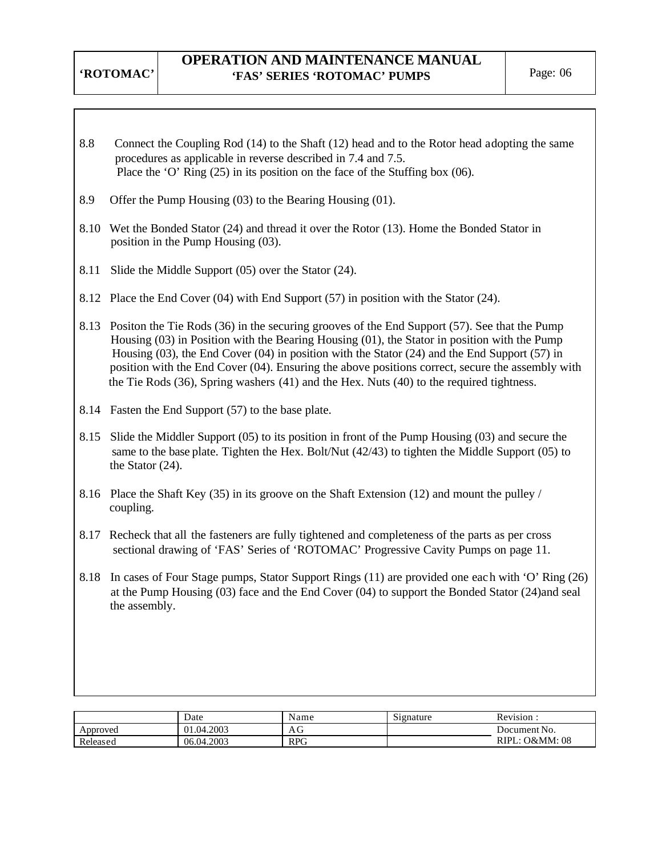- 8.8 Connect the Coupling Rod (14) to the Shaft (12) head and to the Rotor head adopting the same procedures as applicable in reverse described in 7.4 and 7.5. Place the 'O' Ring (25) in its position on the face of the Stuffing box (06).
- 8.9 Offer the Pump Housing (03) to the Bearing Housing (01).
- 8.10 Wet the Bonded Stator (24) and thread it over the Rotor (13). Home the Bonded Stator in position in the Pump Housing (03).
- 8.11 Slide the Middle Support (05) over the Stator (24).
- 8.12 Place the End Cover (04) with End Support (57) in position with the Stator (24).
- 8.13 Positon the Tie Rods (36) in the securing grooves of the End Support (57). See that the Pump Housing (03) in Position with the Bearing Housing (01), the Stator in position with the Pump Housing (03), the End Cover (04) in position with the Stator (24) and the End Support (57) in position with the End Cover (04). Ensuring the above positions correct, secure the assembly with the Tie Rods (36), Spring washers (41) and the Hex. Nuts (40) to the required tightness.
- 8.14 Fasten the End Support (57) to the base plate.
- 8.15 Slide the Middler Support (05) to its position in front of the Pump Housing (03) and secure the same to the base plate. Tighten the Hex. Bolt/Nut (42/43) to tighten the Middle Support (05) to the Stator (24).
- 8.16 Place the Shaft Key (35) in its groove on the Shaft Extension (12) and mount the pulley / coupling.
- 8.17 Recheck that all the fasteners are fully tightened and completeness of the parts as per cross sectional drawing of 'FAS' Series of 'ROTOMAC' Progressive Cavity Pumps on page 11.
- 8.18 In cases of Four Stage pumps, Stator Support Rings (11) are provided one eac h with 'O' Ring (26) at the Pump Housing (03) face and the End Cover (04) to support the Bonded Stator (24)and seal the assembly.

|          | Date       | Name       | Signature | Revision:           |
|----------|------------|------------|-----------|---------------------|
| Approved | 01.04.2003 | AG         |           | Document No.        |
| Released | 06.04.2003 | <b>RPG</b> |           | RIPL<br>.: O&MM: 08 |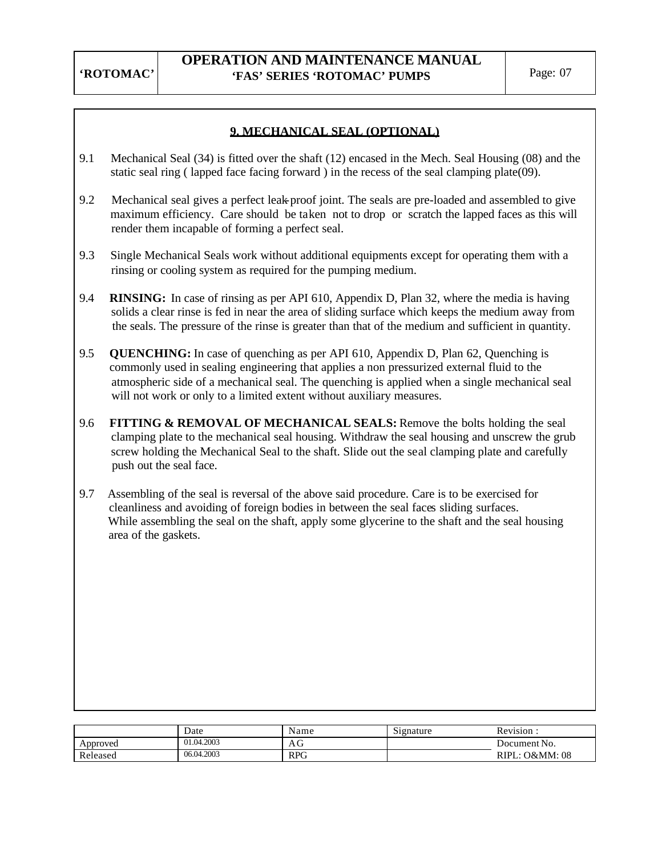## **9. MECHANICAL SEAL (OPTIONAL)**

- 9.1 Mechanical Seal (34) is fitted over the shaft (12) encased in the Mech. Seal Housing (08) and the static seal ring ( lapped face facing forward ) in the recess of the seal clamping plate(09).
- 9.2 Mechanical seal gives a perfect leak-proof joint. The seals are pre-loaded and assembled to give maximum efficiency. Care should be taken not to drop or scratch the lapped faces as this will render them incapable of forming a perfect seal.
- 9.3 Single Mechanical Seals work without additional equipments except for operating them with a rinsing or cooling system as required for the pumping medium.
- 9.4 **RINSING:** In case of rinsing as per API 610, Appendix D, Plan 32, where the media is having solids a clear rinse is fed in near the area of sliding surface which keeps the medium away from the seals. The pressure of the rinse is greater than that of the medium and sufficient in quantity.
- 9.5 **QUENCHING:** In case of quenching as per API 610, Appendix D, Plan 62, Quenching is commonly used in sealing engineering that applies a non pressurized external fluid to the atmospheric side of a mechanical seal. The quenching is applied when a single mechanical seal will not work or only to a limited extent without auxiliary measures.
- 9.6 **FITTING & REMOVAL OF MECHANICAL SEALS:** Remove the bolts holding the seal clamping plate to the mechanical seal housing. Withdraw the seal housing and unscrew the grub screw holding the Mechanical Seal to the shaft. Slide out the seal clamping plate and carefully push out the seal face.
- 9.7 Assembling of the seal is reversal of the above said procedure. Care is to be exercised for cleanliness and avoiding of foreign bodies in between the seal faces sliding surfaces. While assembling the seal on the shaft, apply some glycerine to the shaft and the seal housing area of the gaskets.

|          | Date       | Name       | $\sim\cdot$<br>Signature | $\cdot$ $\cdot$<br>Revision. |
|----------|------------|------------|--------------------------|------------------------------|
| Approved | 01.04.2003 | AU         |                          | Document No.                 |
| Released | 06.04.2003 | <b>RPG</b> |                          | O&MM: 08<br>RIPL.            |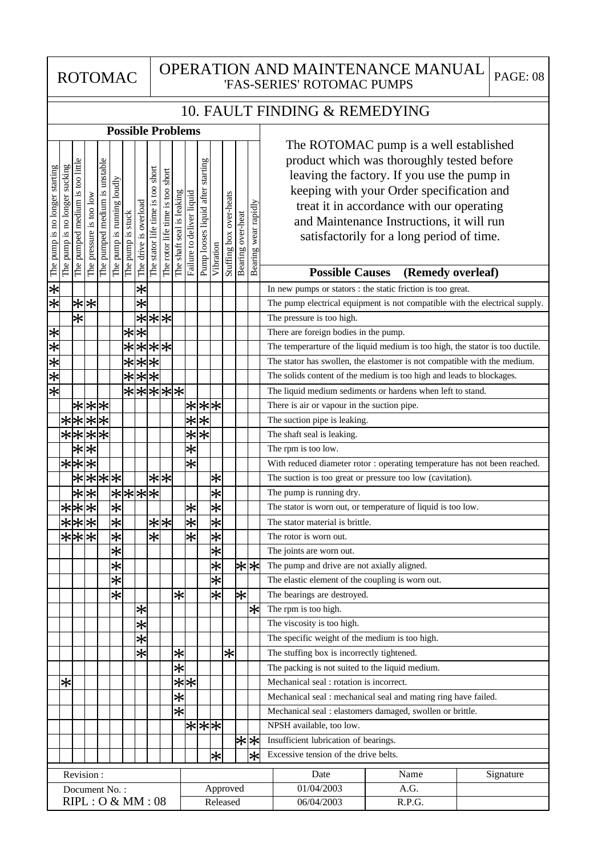ROTOMAC

## OPERATION AND MAINTENANCE MANUAL 'FAS-SERIES' ROTOMAC PUMPS PAGE: 08

| 10. FAULT FINDING & REMEDYING |  |
|-------------------------------|--|
|-------------------------------|--|

|                                                                                                   |                               |                      |                   |                               | <b>Possible Problems</b>   |                   |                       |                                   |                            |                           |                           |                          |                         |                         |                   |                      |                                                                                      |
|---------------------------------------------------------------------------------------------------|-------------------------------|----------------------|-------------------|-------------------------------|----------------------------|-------------------|-----------------------|-----------------------------------|----------------------------|---------------------------|---------------------------|--------------------------|-------------------------|-------------------------|-------------------|----------------------|--------------------------------------------------------------------------------------|
|                                                                                                   |                               |                      |                   |                               |                            |                   |                       |                                   |                            |                           |                           |                          |                         |                         |                   |                      | The ROTOMAC pump is a well established<br>product which was thoroughly tested before |
|                                                                                                   |                               | too little           |                   |                               |                            |                   |                       |                                   | short                      |                           |                           | starting                 |                         |                         |                   |                      | leaving the factory. If you use the pump in                                          |
|                                                                                                   |                               |                      |                   |                               |                            |                   |                       |                                   |                            |                           |                           |                          |                         |                         |                   |                      | keeping with your Order specification and                                            |
|                                                                                                   |                               |                      |                   |                               |                            |                   |                       |                                   |                            |                           |                           |                          |                         |                         |                   |                      | treat it in accordance with our operating                                            |
|                                                                                                   |                               |                      | is too low        |                               |                            |                   |                       |                                   |                            |                           |                           |                          |                         |                         |                   |                      | and Maintenance Instructions, it will run                                            |
|                                                                                                   |                               |                      |                   |                               |                            |                   |                       |                                   |                            |                           |                           |                          |                         |                         |                   |                      | satisfactorily for a long period of time.                                            |
| The pump is no longer starting                                                                    | The pump is no longer sucking | The pumped medium is | The pressure      | The pumped medium is unstable | The pump is running loudly | The pump is stuck | The drive is overload | The stator life time is too short | The rotor life time is too | The shaft seal is leaking | Failure to deliver liquid | Pump looses liquid after | Vibration               | Stuffing box over-heats | Bearing over-heat | Bearing wear rapidly |                                                                                      |
|                                                                                                   |                               |                      |                   |                               |                            |                   |                       |                                   |                            |                           |                           |                          |                         |                         |                   |                      | <b>Possible Causes</b><br>(Remedy overleaf)                                          |
|                                                                                                   |                               |                      |                   |                               |                            |                   | $\ast$                |                                   |                            |                           |                           |                          |                         |                         |                   |                      | In new pumps or stators : the static friction is too great.                          |
| ⊁ ⋇                                                                                               |                               | $\ast$               | $\ast$            |                               |                            |                   | $\overline{\ast}$     |                                   |                            |                           |                           |                          |                         |                         |                   |                      | The pump electrical equipment is not compatible with the electrical supply.          |
|                                                                                                   |                               | $\overline{\ast}$    |                   |                               |                            |                   |                       | ***                               |                            |                           |                           |                          |                         |                         |                   |                      | The pressure is too high.                                                            |
|                                                                                                   |                               |                      |                   |                               |                            |                   | $\overline{**}$       |                                   |                            |                           |                           |                          |                         |                         |                   |                      | There are foreign bodies in the pump.                                                |
| $\frac{1}{2}$ $\frac{1}{2}$ $\frac{1}{2}$ $\frac{1}{2}$ $\frac{1}{2}$ $\frac{1}{2}$ $\frac{1}{2}$ |                               |                      |                   |                               |                            | $\ast$            |                       | ***                               |                            |                           |                           |                          |                         |                         |                   |                      | The temperarture of the liquid medium is too high, the stator is too ductile.        |
|                                                                                                   |                               |                      |                   |                               |                            | $*$               |                       | $\frac{*}{*}$                     |                            |                           |                           |                          |                         |                         |                   |                      | The stator has swollen, the elastomer is not compatible with the medium.             |
|                                                                                                   |                               |                      |                   |                               |                            | $\bigstar$        |                       | $\overline{**}$                   |                            |                           |                           |                          |                         |                         |                   |                      | The solids content of the medium is too high and leads to blockages.                 |
|                                                                                                   |                               |                      |                   |                               |                            |                   |                       |                                   |                            | *****                     |                           |                          |                         |                         |                   |                      | The liquid medium sediments or hardens when left to stand.                           |
|                                                                                                   |                               |                      |                   | ***                           |                            |                   |                       |                                   |                            |                           |                           |                          |                         |                         |                   |                      | There is air or vapour in the suction pipe.                                          |
|                                                                                                   |                               | ****                 |                   |                               |                            |                   |                       |                                   |                            |                           | $\overline{\ast}$         | $\frac{1}{\sqrt{2}}$     |                         |                         |                   |                      | The suction pipe is leaking.                                                         |
|                                                                                                   |                               | $*$ * $*$ *          |                   |                               |                            |                   |                       |                                   |                            |                           | $\bigstar$                | $\overline{\ast}$        |                         |                         |                   |                      | The shaft seal is leaking.                                                           |
|                                                                                                   |                               | $\overline{\ast}$    | $\overline{\ast}$ |                               |                            |                   |                       |                                   |                            |                           | $\overline{\ast}$         |                          |                         |                         |                   |                      | The rpm is too low.                                                                  |
|                                                                                                   |                               | $* * $               | $\overline{\ast}$ |                               |                            |                   |                       |                                   |                            |                           | $\bigstar$                |                          |                         |                         |                   |                      | With reduced diameter rotor : operating temperature has not been reached.            |
|                                                                                                   |                               | Ӿ                    |                   | $\overline{**}$               |                            |                   |                       | $* * $                            |                            |                           |                           |                          | $\bigstar$              |                         |                   |                      | The suction is too great or pressure too low (cavitation).                           |
|                                                                                                   |                               | ⊁                    | $*$               |                               |                            |                   |                       |                                   |                            |                           |                           |                          | $\overline{\ast}$       |                         |                   |                      | The pump is running dry.                                                             |
|                                                                                                   |                               | ***                  |                   |                               |                            |                   |                       |                                   |                            |                           | $\ast$                    |                          | $\overline{\ast}$       |                         |                   |                      | The stator is worn out, or temperature of liquid is too low.                         |
|                                                                                                   |                               | ***                  |                   |                               | $\frac{1}{\sqrt{2}}$       |                   |                       | * <u>*</u>                        |                            |                           | $\frac{1}{\sqrt{2}}$      |                          | $\overline{\ast}$       |                         |                   |                      | The stator material is brittle.                                                      |
|                                                                                                   |                               | $\overline{**}$      |                   |                               | $\overline{\ast}$          |                   |                       | Ӿ                                 |                            |                           | $\bigstar$                |                          | $\left \star\right $    |                         |                   |                      | The rotor is worn out.                                                               |
|                                                                                                   |                               |                      |                   |                               | $\frac{1}{\sqrt{2}}$       |                   |                       |                                   |                            |                           |                           |                          | $\bigstar$              |                         |                   |                      | The joints are worn out.                                                             |
|                                                                                                   |                               |                      |                   |                               | $\frac{1}{2}$              |                   |                       |                                   |                            |                           |                           |                          | $\overline{\ast}$       |                         |                   | ା∗ା∗                 | The pump and drive are not axially aligned.                                          |
|                                                                                                   |                               |                      |                   |                               | $\overline{\mathbf{x}}$    |                   |                       |                                   |                            |                           |                           |                          | $\overline{\mathbf{x}}$ |                         |                   |                      | The elastic element of the coupling is worn out.                                     |
|                                                                                                   |                               |                      |                   |                               | $\ast$                     |                   |                       |                                   |                            | $\overline{\ast}$         |                           |                          | ⋇                       |                         | $ \varkappa $     |                      | The bearings are destroyed.                                                          |
|                                                                                                   |                               |                      |                   |                               |                            |                   | ∗                     |                                   |                            |                           |                           |                          |                         |                         |                   | ∗⊧                   | The rpm is too high.                                                                 |
|                                                                                                   |                               |                      |                   |                               |                            |                   | Ӿ                     |                                   |                            |                           |                           |                          |                         |                         |                   |                      | The viscosity is too high.                                                           |
|                                                                                                   |                               |                      |                   |                               |                            |                   | $\overline{\ast}$     |                                   |                            |                           |                           |                          |                         |                         |                   |                      | The specific weight of the medium is too high.                                       |
|                                                                                                   |                               |                      |                   |                               |                            |                   | *                     |                                   |                            | $\ast$                    |                           |                          |                         | $\ast$                  |                   |                      | The stuffing box is incorrectly tightened.                                           |
|                                                                                                   |                               |                      |                   |                               |                            |                   |                       |                                   |                            | $\overline{\ast}$         |                           |                          |                         |                         |                   |                      | The packing is not suited to the liquid medium.                                      |
|                                                                                                   | $\ast$                        |                      |                   |                               |                            |                   |                       |                                   |                            |                           | ∗∣∗∣                      |                          |                         |                         |                   |                      | Mechanical seal : rotation is incorrect.                                             |
|                                                                                                   |                               |                      |                   |                               |                            |                   |                       |                                   |                            | $\ast$                    |                           |                          |                         |                         |                   |                      | Mechanical seal : mechanical seal and mating ring have failed.                       |
|                                                                                                   |                               |                      |                   |                               |                            |                   |                       |                                   |                            | $\overline{\ast}$         |                           |                          |                         |                         |                   |                      | Mechanical seal : elastomers damaged, swollen or brittle.                            |
|                                                                                                   |                               |                      |                   |                               |                            |                   |                       |                                   |                            |                           |                           | * * *                    |                         |                         |                   |                      | NPSH available, too low.                                                             |
|                                                                                                   |                               |                      |                   |                               |                            |                   |                       |                                   |                            |                           |                           |                          |                         |                         |                   | ৰি∣*া                | Insufficient lubrication of bearings.<br>Excessive tension of the drive belts.       |
|                                                                                                   |                               |                      |                   |                               |                            |                   |                       |                                   |                            |                           |                           |                          | *                       |                         |                   | $\ast$               |                                                                                      |
|                                                                                                   |                               | Revision:            |                   |                               |                            |                   |                       |                                   |                            |                           |                           |                          |                         |                         |                   |                      | Name<br>Signature<br>Date                                                            |
|                                                                                                   |                               |                      |                   | Document No.:                 |                            |                   |                       |                                   |                            |                           |                           |                          |                         | Approved                |                   |                      | 01/04/2003<br>A.G.                                                                   |
|                                                                                                   |                               |                      |                   | RIPL: O & MM: 08              |                            |                   |                       |                                   |                            |                           |                           |                          |                         | Released                |                   |                      | 06/04/2003<br>R.P.G.                                                                 |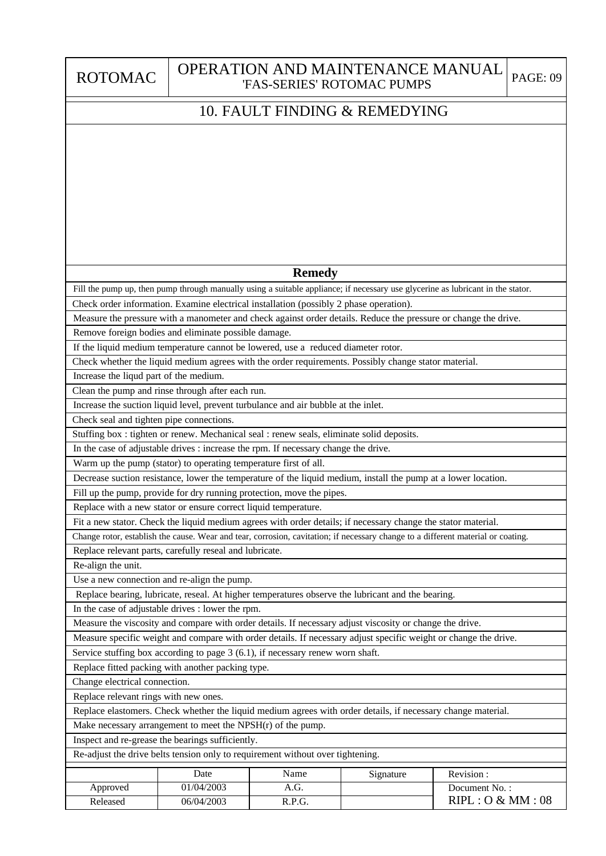ROTOMAC

## OPERATION AND MAINTENANCE MANUAL 'FAS-SERIES' ROTOMAC PUMPS PAGE: 09

## 10. FAULT FINDING & REMEDYING

## **Remedy**

Fill the pump up, then pump through manually using a suitable appliance; if necessary use glycerine as lubricant in the stator.

Check order information. Examine electrical installation (possibly 2 phase operation).

Measure the pressure with a manometer and check against order details. Reduce the pressure or change the drive. Remove foreign bodies and eliminate possible damage.

If the liquid medium temperature cannot be lowered, use a reduced diameter rotor.

Check whether the liquid medium agrees with the order requirements. Possibly change stator material.

Increase the liqud part of the medium.

Clean the pump and rinse through after each run.

Increase the suction liquid level, prevent turbulance and air bubble at the inlet.

Check seal and tighten pipe connections.

Stuffing box : tighten or renew. Mechanical seal : renew seals, eliminate solid deposits.

In the case of adjustable drives : increase the rpm. If necessary change the drive.

Warm up the pump (stator) to operating temperature first of all.

Decrease suction resistance, lower the temperature of the liquid medium, install the pump at a lower location.

Fill up the pump, provide for dry running protection, move the pipes.

Replace with a new stator or ensure correct liquid temperature.

Fit a new stator. Check the liquid medium agrees with order details; if necessary change the stator material.

Change rotor, establish the cause. Wear and tear, corrosion, cavitation; if necessary change to a different material or coating.

Replace relevant parts, carefully reseal and lubricate.

Re-align the unit.

Use a new connection and re-align the pump.

Replace bearing, lubricate, reseal. At higher temperatures observe the lubricant and the bearing.

In the case of adjustable drives : lower the rpm.

Measure the viscosity and compare with order details. If necessary adjust viscosity or change the drive.

Measure specific weight and compare with order details. If necessary adjust specific weight or change the drive.

Service stuffing box according to page 3 (6.1), if necessary renew worn shaft.

Replace fitted packing with another packing type.

Change electrical connection.

Replace relevant rings with new ones.

Replace elastomers. Check whether the liquid medium agrees with order details, if necessary change material.

Make necessary arrangement to meet the NPSH(r) of the pump.

Inspect and re-grease the bearings sufficiently.

Re-adjust the drive belts tension only to requirement without over tightening.

|          | Date       | Name   | Signature | Revision:        |
|----------|------------|--------|-----------|------------------|
| Approved | 01/04/2003 | A.G.   |           | Document No.:    |
| Released | 06/04/2003 | R.P.G. |           | RIPL: O & MM: 08 |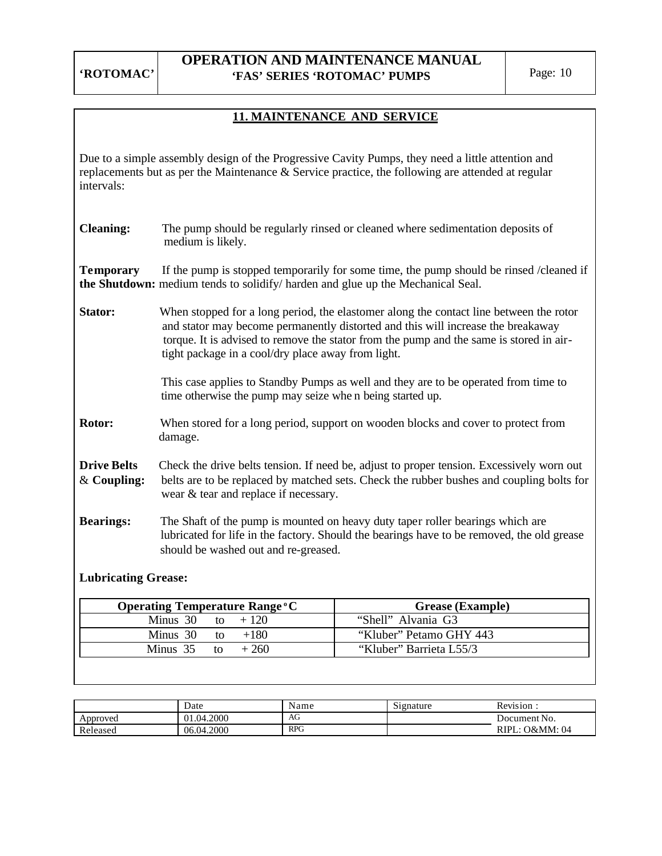## **OPERATION AND MAINTENANCE MANUAL 'FAS' SERIES 'ROTOMAC' PUMPS** Page: 10

## **11. MAINTENANCE AND SERVICE**

Due to a simple assembly design of the Progressive Cavity Pumps, they need a little attention and replacements but as per the Maintenance & Service practice, the following are attended at regular intervals:

| <b>Cleaning:</b> | The pump should be regularly rinsed or cleaned where sedimentation deposits of |
|------------------|--------------------------------------------------------------------------------|
|                  | medium is likely.                                                              |

**Temporary** If the pump is stopped temporarily for some time, the pump should be rinsed /cleaned if **the Shutdown:** medium tends to solidify/ harden and glue up the Mechanical Seal.

**Stator:** When stopped for a long period, the elastomer along the contact line between the rotor and stator may become permanently distorted and this will increase the breakaway torque. It is advised to remove the stator from the pump and the same is stored in air tight package in a cool/dry place away from light.

> This case applies to Standby Pumps as well and they are to be operated from time to time otherwise the pump may seize whe n being started up.

**Rotor:** When stored for a long period, support on wooden blocks and cover to protect from damage.

**Drive Belts** Check the drive belts tension. If need be, adjust to proper tension. Excessively worn out & **Coupling:** belts are to be replaced by matched sets. Check the rubber bushes and coupling bolts for wear & tear and replace if necessary.

**Bearings:** The Shaft of the pump is mounted on heavy duty taper roller bearings which are lubricated for life in the factory. Should the bearings have to be removed, the old grease should be washed out and re-greased.

### **Lubricating Grease:**

| <b>Operating Temperature Range °C</b> | <b>Grease</b> (Example) |
|---------------------------------------|-------------------------|
| Minus 30 to $+120$                    | "Shell" Alvania G3      |
| Minus 30 to $+180$                    | "Kluber" Petamo GHY 443 |
| Minus 35 to $+260$                    | "Kluber" Barrieta L55/3 |

|          | Date       | Name       | Signature | Revision:           |
|----------|------------|------------|-----------|---------------------|
| Approved | 01.04.2000 | AG         |           | Document No.        |
| Released | 06.04.2000 | <b>RPG</b> |           | RIPL.<br>: O&MM: 04 |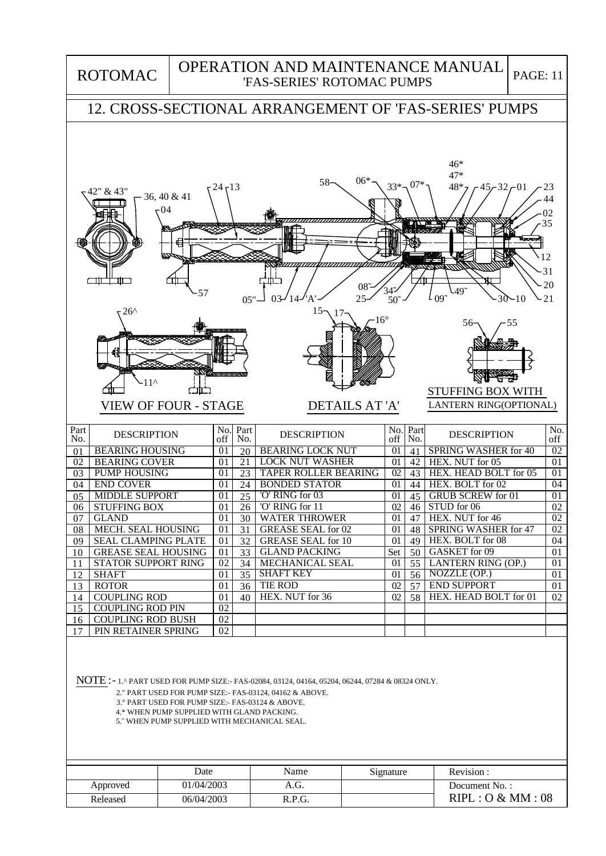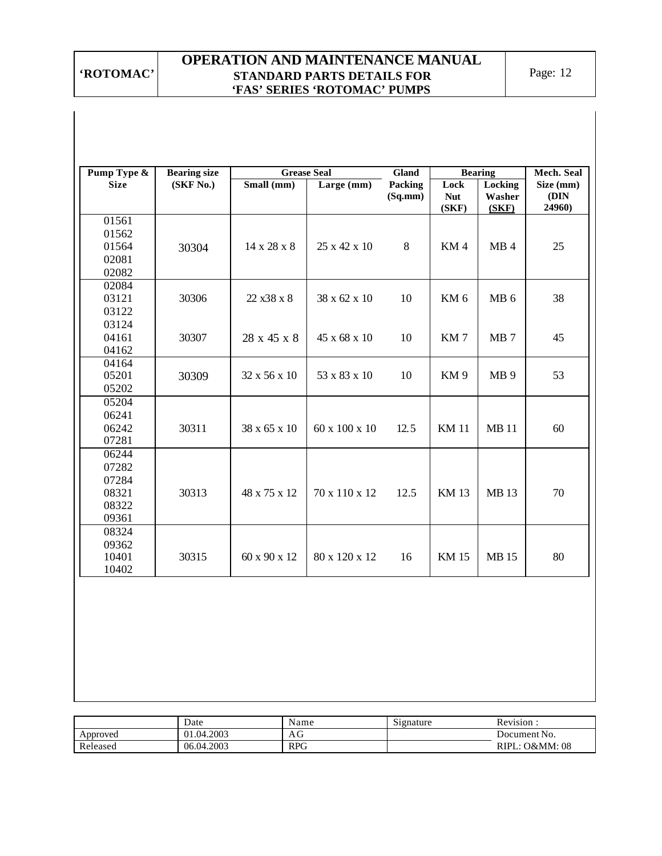## **OPERATION AND MAINTENANCE MANUAL STANDARD PARTS DETAILS FOR 'FAS' SERIES 'ROTOMAC' PUMPS**

| Pump Type & | <b>Bearing size</b> |              | <b>Grease Seal</b> | Gland   |                 | <b>Bearing</b>  | Mech. Seal     |
|-------------|---------------------|--------------|--------------------|---------|-----------------|-----------------|----------------|
| <b>Size</b> | (SKF No.)           | Small (mm)   | Large (mm)         | Packing | Lock            | Locking         | Size (mm)      |
|             |                     |              |                    | (Sq.mm) | <b>Nut</b>      | Washer          | (DIN<br>24960) |
| 01561       |                     |              |                    |         | (SKF)           | (SKF)           |                |
| 01562       |                     |              |                    |         |                 |                 |                |
| 01564       | 30304               | 14 x 28 x 8  | 25 x 42 x 10       | $\,8\,$ | KM4             | MB <sub>4</sub> | 25             |
| 02081       |                     |              |                    |         |                 |                 |                |
| 02082       |                     |              |                    |         |                 |                 |                |
| 02084       |                     |              |                    |         |                 |                 |                |
| 03121       | 30306               | 22 x38 x 8   | 38 x 62 x 10       | 10      | KM <sub>6</sub> | MB <sub>6</sub> | 38             |
| 03122       |                     |              |                    |         |                 |                 |                |
| 03124       |                     |              |                    |         |                 |                 |                |
| 04161       | 30307               | 28 x 45 x 8  | 45 x 68 x 10       | 10      | KM7             | MB <sub>7</sub> | 45             |
| 04162       |                     |              |                    |         |                 |                 |                |
| 04164       |                     |              |                    |         |                 |                 |                |
| 05201       | 30309               | 32 x 56 x 10 | 53 x 83 x 10       | 10      | KM <sub>9</sub> | MB <sub>9</sub> | 53             |
| 05202       |                     |              |                    |         |                 |                 |                |
| 05204       |                     |              |                    |         |                 |                 |                |
| 06241       |                     |              |                    |         |                 |                 |                |
| 06242       | 30311               | 38 x 65 x 10 | 60 x 100 x 10      | 12.5    | <b>KM11</b>     | <b>MB11</b>     | 60             |
| 07281       |                     |              |                    |         |                 |                 |                |
| 06244       |                     |              |                    |         |                 |                 |                |
| 07282       |                     |              |                    |         |                 |                 |                |
| 07284       |                     |              |                    |         |                 |                 |                |
| 08321       | 30313               | 48 x 75 x 12 | 70 x 110 x 12      | 12.5    | <b>KM13</b>     | <b>MB13</b>     | 70             |
| 08322       |                     |              |                    |         |                 |                 |                |
| 09361       |                     |              |                    |         |                 |                 |                |
| 08324       |                     |              |                    |         |                 |                 |                |
| 09362       |                     |              |                    |         |                 |                 |                |
| 10401       | 30315               | 60 x 90 x 12 | 80 x 120 x 12      | 16      | <b>KM 15</b>    | <b>MB15</b>     | 80             |
| 10402       |                     |              |                    |         |                 |                 |                |

|          | Date       | Name       | Signature | Revision                  |
|----------|------------|------------|-----------|---------------------------|
| Approved | 01.04.2003 | AG         |           | Document No.              |
| Released | 06.04.2003 | <b>RPG</b> |           | <b>RIPL: O&amp;MM: 08</b> |